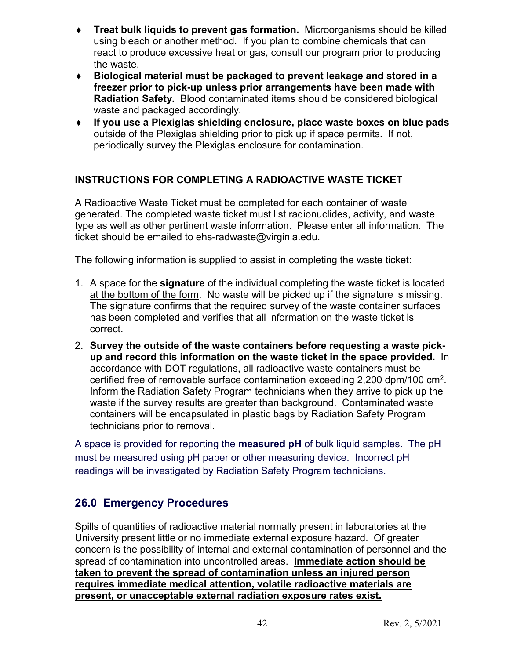- ♦ **Treat bulk liquids to prevent gas formation.** Microorganisms should be killed using bleach or another method. If you plan to combine chemicals that can react to produce excessive heat or gas, consult our program prior to producing the waste.
- ♦ **Biological material must be packaged to prevent leakage and stored in a freezer prior to pick-up unless prior arrangements have been made with Radiation Safety.** Blood contaminated items should be considered biological waste and packaged accordingly.
- ♦ **If you use a Plexiglas shielding enclosure, place waste boxes on blue pads** outside of the Plexiglas shielding prior to pick up if space permits. If not, periodically survey the Plexiglas enclosure for contamination.

## **INSTRUCTIONS FOR COMPLETING A RADIOACTIVE WASTE TICKET**

A Radioactive Waste Ticket must be completed for each container of waste generated. The completed waste ticket must list radionuclides, activity, and waste type as well as other pertinent waste information. Please enter all information. The ticket should be emailed to ehs-radwaste@virginia.edu.

The following information is supplied to assist in completing the waste ticket:

- 1. A space for the **signature** of the individual completing the waste ticket is located at the bottom of the form. No waste will be picked up if the signature is missing. The signature confirms that the required survey of the waste container surfaces has been completed and verifies that all information on the waste ticket is correct.
- 2. **Survey the outside of the waste containers before requesting a waste pickup and record this information on the waste ticket in the space provided.** In accordance with DOT regulations, all radioactive waste containers must be certified free of removable surface contamination exceeding 2,200 dpm/100 cm2. Inform the Radiation Safety Program technicians when they arrive to pick up the waste if the survey results are greater than background. Contaminated waste containers will be encapsulated in plastic bags by Radiation Safety Program technicians prior to removal.

A space is provided for reporting the **measured pH** of bulk liquid samples. The pH must be measured using pH paper or other measuring device. Incorrect pH readings will be investigated by Radiation Safety Program technicians.

# **26.0 Emergency Procedures**

Spills of quantities of radioactive material normally present in laboratories at the University present little or no immediate external exposure hazard. Of greater concern is the possibility of internal and external contamination of personnel and the spread of contamination into uncontrolled areas. **Immediate action should be taken to prevent the spread of contamination unless an injured person requires immediate medical attention, volatile radioactive materials are present, or unacceptable external radiation exposure rates exist.**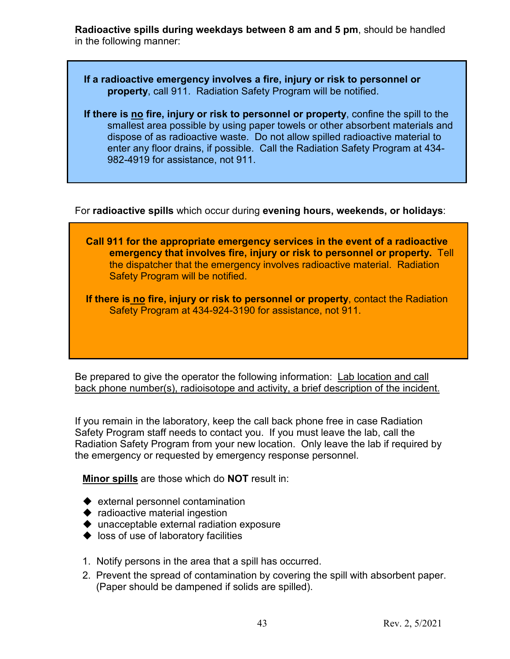**Radioactive spills during weekdays between 8 am and 5 pm**, should be handled in the following manner:

- **If a radioactive emergency involves a fire, injury or risk to personnel or property**, call 911. Radiation Safety Program will be notified.
- **If there is no fire, injury or risk to personnel or property**, confine the spill to the smallest area possible by using paper towels or other absorbent materials and dispose of as radioactive waste. Do not allow spilled radioactive material to enter any floor drains, if possible. Call the Radiation Safety Program at 434- 982-4919 for assistance, not 911.

For **radioactive spills** which occur during **evening hours, weekends, or holidays**:



Be prepared to give the operator the following information: Lab location and call back phone number(s), radioisotope and activity, a brief description of the incident.

If you remain in the laboratory, keep the call back phone free in case Radiation Safety Program staff needs to contact you. If you must leave the lab, call the Radiation Safety Program from your new location. Only leave the lab if required by the emergency or requested by emergency response personnel.

**Minor spills** are those which do **NOT** result in:

- $\blacklozenge$  external personnel contamination
- $\blacklozenge$  radioactive material ingestion
- unacceptable external radiation exposure
- $\blacklozenge$  loss of use of laboratory facilities
- 1. Notify persons in the area that a spill has occurred.
- 2. Prevent the spread of contamination by covering the spill with absorbent paper. (Paper should be dampened if solids are spilled).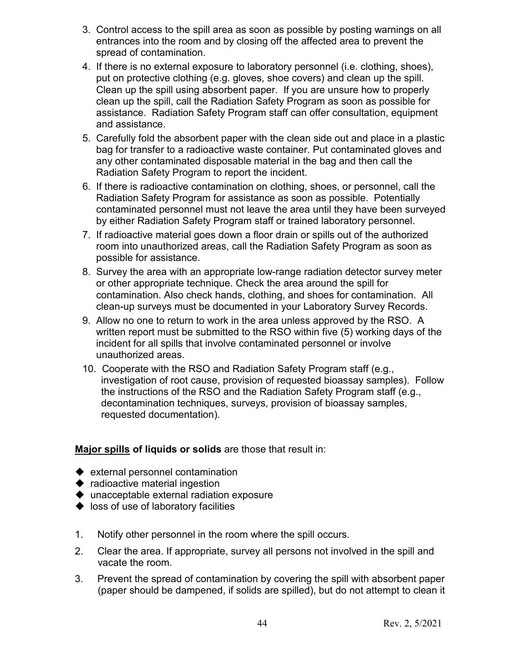- 3. Control access to the spill area as soon as possible by posting warnings on all entrances into the room and by closing off the affected area to prevent the spread of contamination.
- 4. If there is no external exposure to laboratory personnel (i.e. clothing, shoes), put on protective clothing (e.g. gloves, shoe covers) and clean up the spill. Clean up the spill using absorbent paper. If you are unsure how to properly clean up the spill, call the Radiation Safety Program as soon as possible for assistance. Radiation Safety Program staff can offer consultation, equipment and assistance.
- 5. Carefully fold the absorbent paper with the clean side out and place in a plastic bag for transfer to a radioactive waste container. Put contaminated gloves and any other contaminated disposable material in the bag and then call the Radiation Safety Program to report the incident.
- 6. If there is radioactive contamination on clothing, shoes, or personnel, call the Radiation Safety Program for assistance as soon as possible. Potentially contaminated personnel must not leave the area until they have been surveyed by either Radiation Safety Program staff or trained laboratory personnel.
- 7. If radioactive material goes down a floor drain or spills out of the authorized room into unauthorized areas, call the Radiation Safety Program as soon as possible for assistance.
- 8. Survey the area with an appropriate low-range radiation detector survey meter or other appropriate technique. Check the area around the spill for contamination. Also check hands, clothing, and shoes for contamination. All clean-up surveys must be documented in your Laboratory Survey Records.
- 9. Allow no one to return to work in the area unless approved by the RSO. A written report must be submitted to the RSO within five (5) working days of the incident for all spills that involve contaminated personnel or involve unauthorized areas.
- 10. Cooperate with the RSO and Radiation Safety Program staff (e.g., investigation of root cause, provision of requested bioassay samples). Follow the instructions of the RSO and the Radiation Safety Program staff (e.g., decontamination techniques, surveys, provision of bioassay samples, requested documentation).

### **Major spills of liquids or solids** are those that result in:

- $\blacklozenge$  external personnel contamination
- $\blacklozenge$  radioactive material ingestion
- ◆ unacceptable external radiation exposure
- $\blacklozenge$  loss of use of laboratory facilities
- 1. Notify other personnel in the room where the spill occurs.
- 2. Clear the area. If appropriate, survey all persons not involved in the spill and vacate the room.
- 3. Prevent the spread of contamination by covering the spill with absorbent paper (paper should be dampened, if solids are spilled), but do not attempt to clean it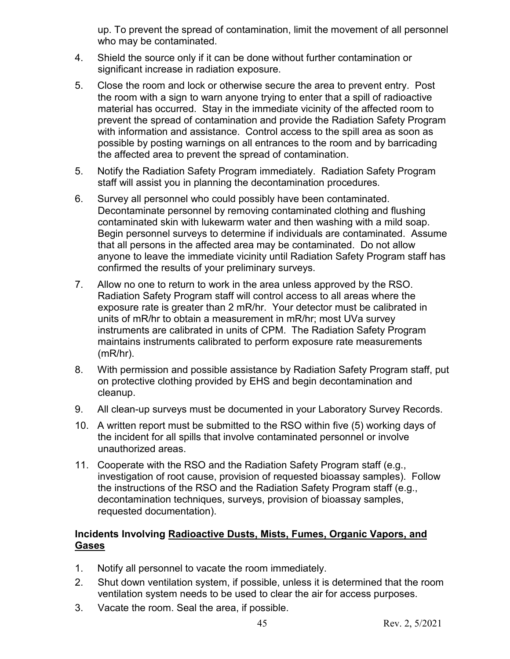up. To prevent the spread of contamination, limit the movement of all personnel who may be contaminated.

- 4. Shield the source only if it can be done without further contamination or significant increase in radiation exposure.
- 5. Close the room and lock or otherwise secure the area to prevent entry. Post the room with a sign to warn anyone trying to enter that a spill of radioactive material has occurred. Stay in the immediate vicinity of the affected room to prevent the spread of contamination and provide the Radiation Safety Program with information and assistance. Control access to the spill area as soon as possible by posting warnings on all entrances to the room and by barricading the affected area to prevent the spread of contamination.
- 5. Notify the Radiation Safety Program immediately. Radiation Safety Program staff will assist you in planning the decontamination procedures.
- 6. Survey all personnel who could possibly have been contaminated. Decontaminate personnel by removing contaminated clothing and flushing contaminated skin with lukewarm water and then washing with a mild soap. Begin personnel surveys to determine if individuals are contaminated. Assume that all persons in the affected area may be contaminated. Do not allow anyone to leave the immediate vicinity until Radiation Safety Program staff has confirmed the results of your preliminary surveys.
- 7. Allow no one to return to work in the area unless approved by the RSO. Radiation Safety Program staff will control access to all areas where the exposure rate is greater than 2 mR/hr. Your detector must be calibrated in units of mR/hr to obtain a measurement in mR/hr; most UVa survey instruments are calibrated in units of CPM. The Radiation Safety Program maintains instruments calibrated to perform exposure rate measurements (mR/hr).
- 8. With permission and possible assistance by Radiation Safety Program staff, put on protective clothing provided by EHS and begin decontamination and cleanup.
- 9. All clean-up surveys must be documented in your Laboratory Survey Records.
- 10. A written report must be submitted to the RSO within five (5) working days of the incident for all spills that involve contaminated personnel or involve unauthorized areas.
- 11. Cooperate with the RSO and the Radiation Safety Program staff (e.g., investigation of root cause, provision of requested bioassay samples). Follow the instructions of the RSO and the Radiation Safety Program staff (e.g., decontamination techniques, surveys, provision of bioassay samples, requested documentation).

### **Incidents Involving Radioactive Dusts, Mists, Fumes, Organic Vapors, and Gases**

- 1. Notify all personnel to vacate the room immediately.
- 2. Shut down ventilation system, if possible, unless it is determined that the room ventilation system needs to be used to clear the air for access purposes.
- 3. Vacate the room. Seal the area, if possible.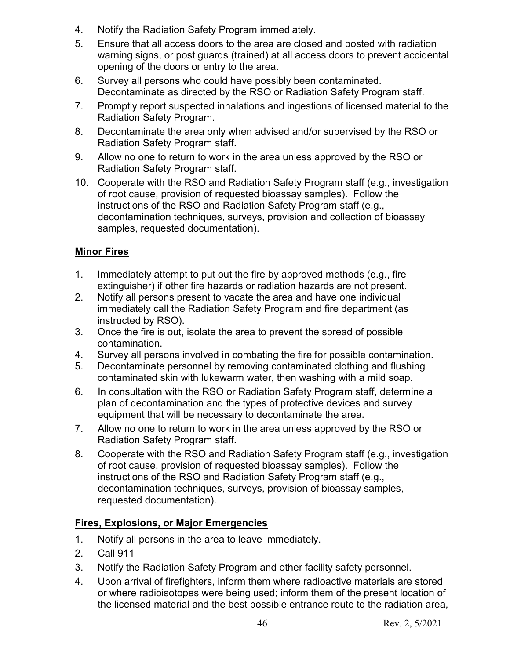- 4. Notify the Radiation Safety Program immediately.
- 5. Ensure that all access doors to the area are closed and posted with radiation warning signs, or post guards (trained) at all access doors to prevent accidental opening of the doors or entry to the area.
- 6. Survey all persons who could have possibly been contaminated. Decontaminate as directed by the RSO or Radiation Safety Program staff.
- 7. Promptly report suspected inhalations and ingestions of licensed material to the Radiation Safety Program.
- 8. Decontaminate the area only when advised and/or supervised by the RSO or Radiation Safety Program staff.
- 9. Allow no one to return to work in the area unless approved by the RSO or Radiation Safety Program staff.
- 10. Cooperate with the RSO and Radiation Safety Program staff (e.g., investigation of root cause, provision of requested bioassay samples). Follow the instructions of the RSO and Radiation Safety Program staff (e.g., decontamination techniques, surveys, provision and collection of bioassay samples, requested documentation).

### **Minor Fires**

- 1. Immediately attempt to put out the fire by approved methods (e.g., fire extinguisher) if other fire hazards or radiation hazards are not present.
- 2. Notify all persons present to vacate the area and have one individual immediately call the Radiation Safety Program and fire department (as instructed by RSO).
- 3. Once the fire is out, isolate the area to prevent the spread of possible contamination.
- 4. Survey all persons involved in combating the fire for possible contamination.
- 5. Decontaminate personnel by removing contaminated clothing and flushing contaminated skin with lukewarm water, then washing with a mild soap.
- 6. In consultation with the RSO or Radiation Safety Program staff, determine a plan of decontamination and the types of protective devices and survey equipment that will be necessary to decontaminate the area.
- 7. Allow no one to return to work in the area unless approved by the RSO or Radiation Safety Program staff.
- 8. Cooperate with the RSO and Radiation Safety Program staff (e.g., investigation of root cause, provision of requested bioassay samples). Follow the instructions of the RSO and Radiation Safety Program staff (e.g., decontamination techniques, surveys, provision of bioassay samples, requested documentation).

## **Fires, Explosions, or Major Emergencies**

- 1. Notify all persons in the area to leave immediately.
- 2. Call 911
- 3. Notify the Radiation Safety Program and other facility safety personnel.
- 4. Upon arrival of firefighters, inform them where radioactive materials are stored or where radioisotopes were being used; inform them of the present location of the licensed material and the best possible entrance route to the radiation area,